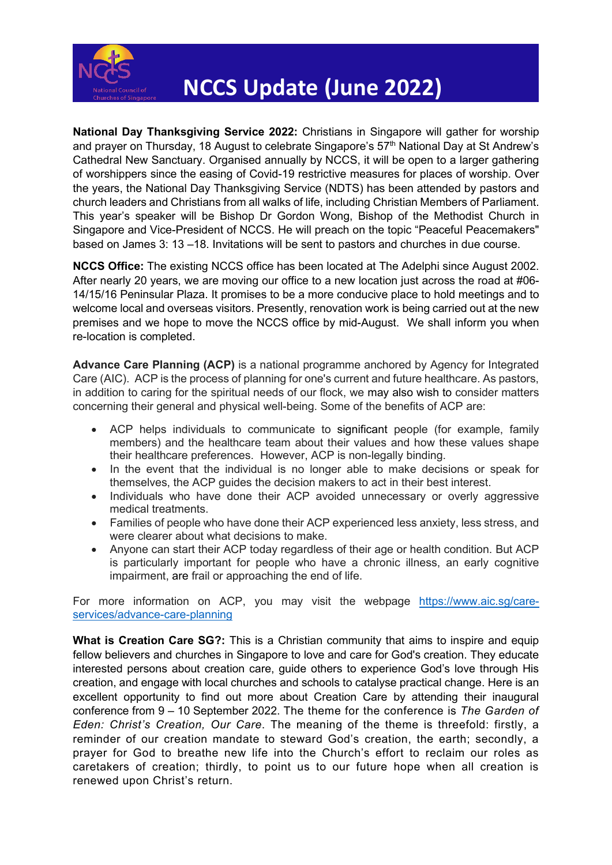

## **NCCS Update (June 2022)**

**National Day Thanksgiving Service 2022:** Christians in Singapore will gather for worship and prayer on Thursday, 18 August to celebrate Singapore's 57<sup>th</sup> National Day at St Andrew's Cathedral New Sanctuary. Organised annually by NCCS, it will be open to a larger gathering of worshippers since the easing of Covid-19 restrictive measures for places of worship. Over the years, the National Day Thanksgiving Service (NDTS) has been attended by pastors and church leaders and Christians from all walks of life, including Christian Members of Parliament. This year's speaker will be Bishop Dr Gordon Wong, Bishop of the Methodist Church in Singapore and Vice-President of NCCS. He will preach on the topic "Peaceful Peacemakers" based on James 3: 13 –18. Invitations will be sent to pastors and churches in due course.

**NCCS Office:** The existing NCCS office has been located at The Adelphi since August 2002. After nearly 20 years, we are moving our office to a new location just across the road at #06- 14/15/16 Peninsular Plaza. It promises to be a more conducive place to hold meetings and to welcome local and overseas visitors. Presently, renovation work is being carried out at the new premises and we hope to move the NCCS office by mid-August. We shall inform you when re-location is completed.

**Advance Care Planning (ACP)** is a national programme anchored by Agency for Integrated Care (AIC). ACP is the process of planning for one's current and future healthcare. As pastors, in addition to caring for the spiritual needs of our flock, we may also wish to consider matters concerning their general and physical well-being. Some of the benefits of ACP are:

- ACP helps individuals to communicate to significant people (for example, family members) and the healthcare team about their values and how these values shape their healthcare preferences. However, ACP is non-legally binding.
- In the event that the individual is no longer able to make decisions or speak for themselves, the ACP guides the decision makers to act in their best interest.
- Individuals who have done their ACP avoided unnecessary or overly aggressive medical treatments.
- Families of people who have done their ACP experienced less anxiety, less stress, and were clearer about what decisions to make.
- Anyone can start their ACP today regardless of their age or health condition. But ACP is particularly important for people who have a chronic illness, an early cognitive impairment, are frail or approaching the end of life.

For more information on ACP, you may visit the webpage [https://www.aic.sg/care](https://www.aic.sg/care-services/advance-care-planning)[services/advance-care-planning](https://www.aic.sg/care-services/advance-care-planning)

**What is Creation Care SG?:** This is a Christian community that aims to inspire and equip fellow believers and churches in Singapore to love and care for God's creation. They educate interested persons about creation care, guide others to experience God's love through His creation, and engage with local churches and schools to catalyse practical change. Here is an excellent opportunity to find out more about Creation Care by attending their inaugural conference from 9 – 10 September 2022. The theme for the conference is *The Garden of Eden: Christ's Creation, Our Care*. The meaning of the theme is threefold: firstly, a reminder of our creation mandate to steward God's creation, the earth; secondly, a prayer for God to breathe new life into the Church's effort to reclaim our roles as caretakers of creation; thirdly, to point us to our future hope when all creation is renewed upon Christ's return.